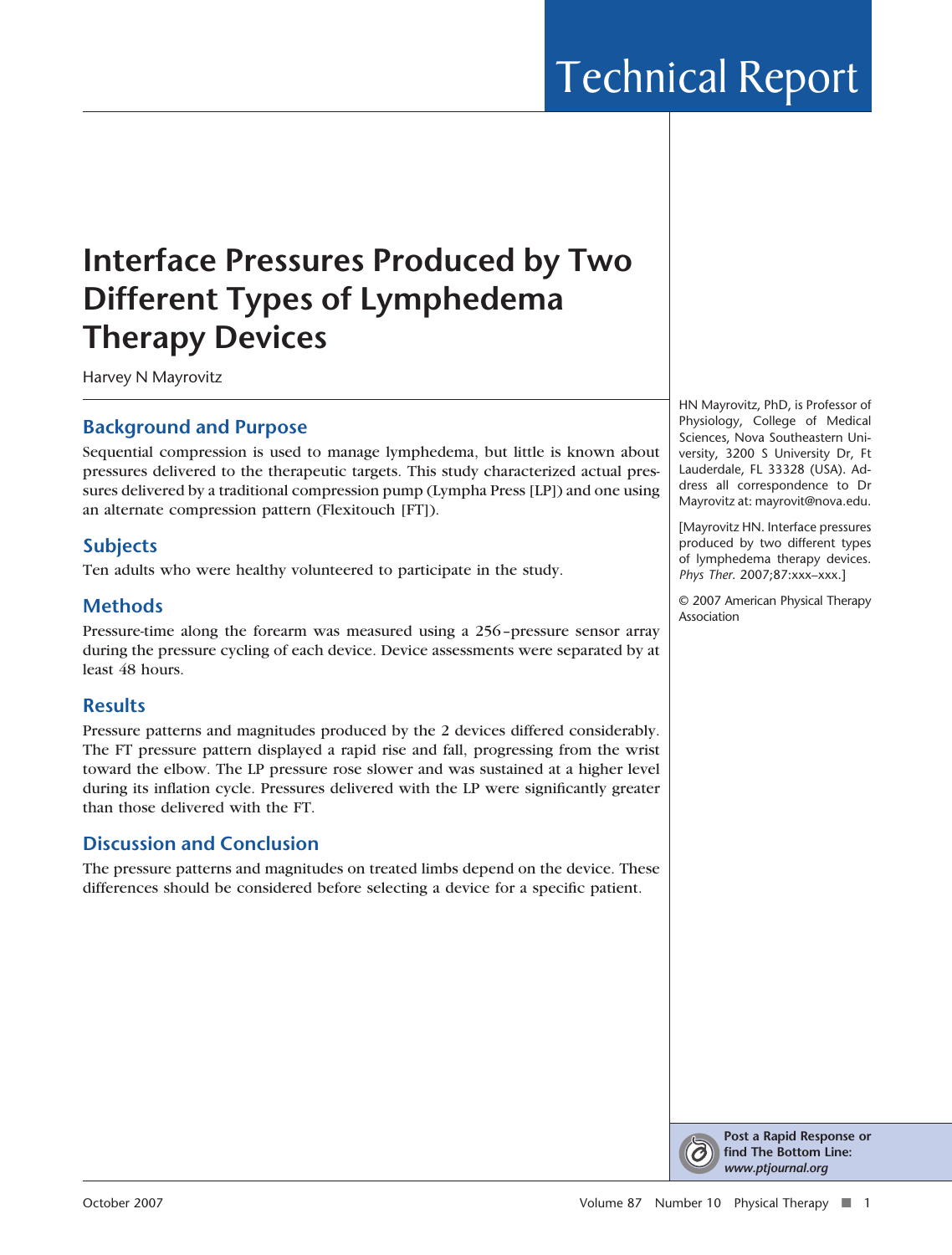# Technical Report

# **Interface Pressures Produced by Two Different Types of Lymphedema Therapy Devices**

Harvey N Mayrovitz

# **Background and Purpose**

Sequential compression is used to manage lymphedema, but little is known about pressures delivered to the therapeutic targets. This study characterized actual pressures delivered by a traditional compression pump (Lympha Press [LP]) and one using an alternate compression pattern (Flexitouch [FT]).

# **Subjects**

Ten adults who were healthy volunteered to participate in the study.

# **Methods**

Pressure-time along the forearm was measured using a 256–pressure sensor array during the pressure cycling of each device. Device assessments were separated by at least 48 hours.

# **Results**

Pressure patterns and magnitudes produced by the 2 devices differed considerably. The FT pressure pattern displayed a rapid rise and fall, progressing from the wrist toward the elbow. The LP pressure rose slower and was sustained at a higher level during its inflation cycle. Pressures delivered with the LP were significantly greater than those delivered with the FT.

# **Discussion and Conclusion**

The pressure patterns and magnitudes on treated limbs depend on the device. These differences should be considered before selecting a device for a specific patient.

HN Mayrovitz, PhD, is Professor of Physiology, College of Medical Sciences, Nova Southeastern University, 3200 S University Dr, Ft Lauderdale, FL 33328 (USA). Address all correspondence to Dr Mayrovitz at: mayrovit@nova.edu.

[Mayrovitz HN. Interface pressures produced by two different types of lymphedema therapy devices. *Phys Ther*. 2007;87:xxx–xxx.]

© 2007 American Physical Therapy Association

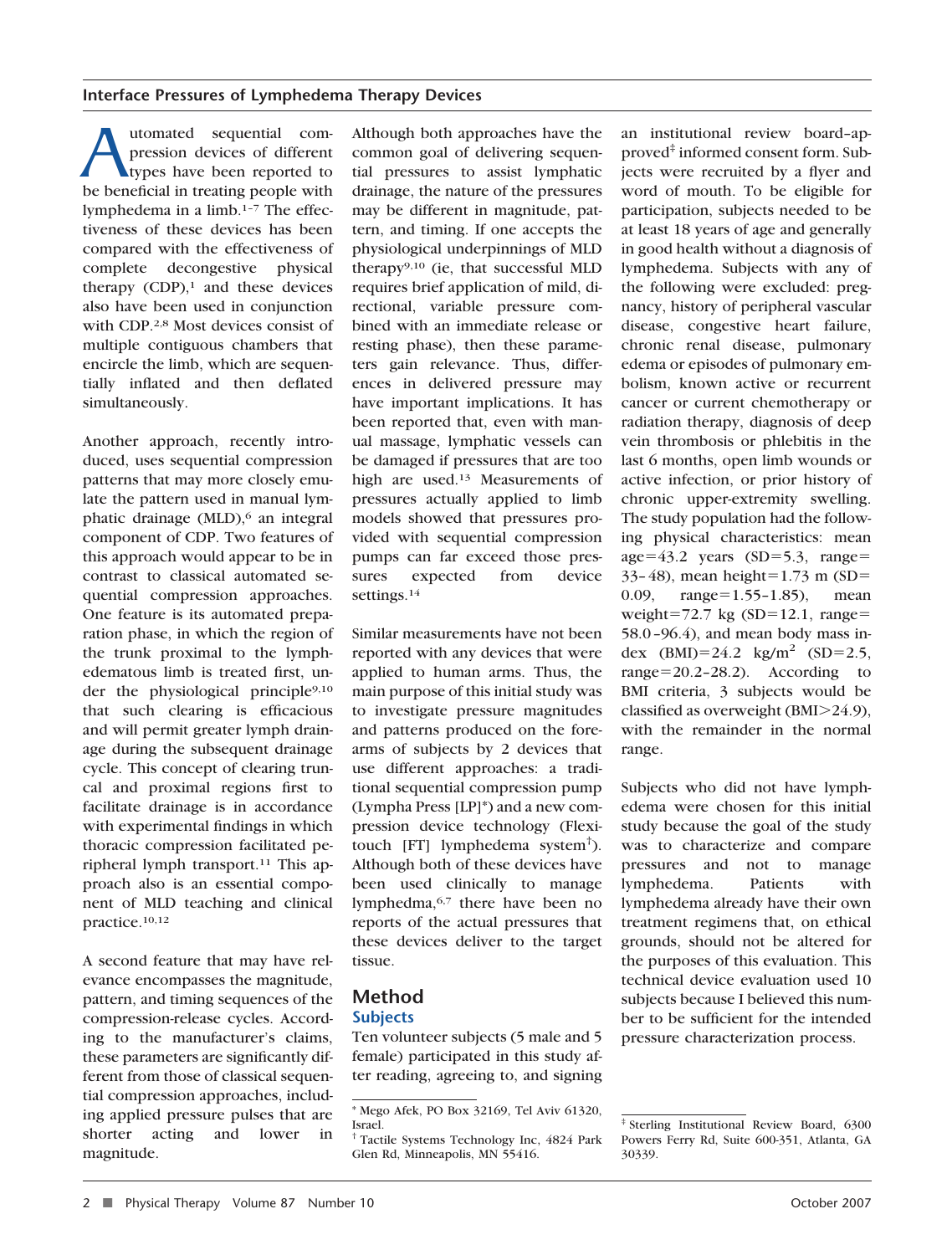Automated sequential com-<br>pression devices of different<br>be beneficial in treating people with pression devices of different types have been reported to lymphedema in a limb.1–7 The effectiveness of these devices has been compared with the effectiveness of complete decongestive physical therapy  $(CDP)$ ,<sup>1</sup> and these devices also have been used in conjunction with CDP.2,8 Most devices consist of multiple contiguous chambers that encircle the limb, which are sequentially inflated and then deflated simultaneously.

Another approach, recently introduced, uses sequential compression patterns that may more closely emulate the pattern used in manual lymphatic drainage (MLD),<sup>6</sup> an integral component of CDP. Two features of this approach would appear to be in contrast to classical automated sequential compression approaches. One feature is its automated preparation phase, in which the region of the trunk proximal to the lymphedematous limb is treated first, under the physiological principle9,10 that such clearing is efficacious and will permit greater lymph drainage during the subsequent drainage cycle. This concept of clearing truncal and proximal regions first to facilitate drainage is in accordance with experimental findings in which thoracic compression facilitated peripheral lymph transport.<sup>11</sup> This approach also is an essential component of MLD teaching and clinical practice.10,12

A second feature that may have relevance encompasses the magnitude, pattern, and timing sequences of the compression-release cycles. According to the manufacturer's claims, these parameters are significantly different from those of classical sequential compression approaches, including applied pressure pulses that are shorter acting and lower in magnitude.

Although both approaches have the common goal of delivering sequential pressures to assist lymphatic drainage, the nature of the pressures may be different in magnitude, pattern, and timing. If one accepts the physiological underpinnings of MLD therapy9,10 (ie, that successful MLD requires brief application of mild, directional, variable pressure combined with an immediate release or resting phase), then these parameters gain relevance. Thus, differences in delivered pressure may have important implications. It has been reported that, even with manual massage, lymphatic vessels can be damaged if pressures that are too high are used.<sup>13</sup> Measurements of pressures actually applied to limb models showed that pressures provided with sequential compression pumps can far exceed those pressures expected from device settings.<sup>14</sup>

Similar measurements have not been reported with any devices that were applied to human arms. Thus, the main purpose of this initial study was to investigate pressure magnitudes and patterns produced on the forearms of subjects by 2 devices that use different approaches: a traditional sequential compression pump (Lympha Press [LP]\*) and a new compression device technology (Flexitouch [FT] lymphedema system† ). Although both of these devices have been used clinically to manage lymphedma,6,7 there have been no reports of the actual pressures that these devices deliver to the target tissue.

# **Method Subjects**

Ten volunteer subjects (5 male and 5 female) participated in this study after reading, agreeing to, and signing an institutional review board–approved‡ informed consent form. Subjects were recruited by a flyer and word of mouth. To be eligible for participation, subjects needed to be at least 18 years of age and generally in good health without a diagnosis of lymphedema. Subjects with any of the following were excluded: pregnancy, history of peripheral vascular disease, congestive heart failure, chronic renal disease, pulmonary edema or episodes of pulmonary embolism, known active or recurrent cancer or current chemotherapy or radiation therapy, diagnosis of deep vein thrombosis or phlebitis in the last 6 months, open limb wounds or active infection, or prior history of chronic upper-extremity swelling. The study population had the following physical characteristics: mean  $age=43.2$  years  $(SD=5.3, range=$ 33–48), mean height=1.73 m (SD= 0.09,  $range=1.55-1.85$ , mean weight=72.7 kg  $(SD=12.1, \text{ range}$ 58.0–96.4), and mean body mass index  $(BMI)=24.2 \text{ kg/m}^2 \text{ (SD=2.5,}$ range $=20.2-28.2$ ). According to BMI criteria, 3 subjects would be classified as overweight (BMI>24.9), with the remainder in the normal range.

Subjects who did not have lymphedema were chosen for this initial study because the goal of the study was to characterize and compare pressures and not to manage lymphedema. Patients with lymphedema already have their own treatment regimens that, on ethical grounds, should not be altered for the purposes of this evaluation. This technical device evaluation used 10 subjects because I believed this number to be sufficient for the intended pressure characterization process.

<sup>\*</sup> Mego Afek, PO Box 32169, Tel Aviv 61320, Israel.

<sup>†</sup> Tactile Systems Technology Inc, 4824 Park Glen Rd, Minneapolis, MN 55416.

<sup>‡</sup> Sterling Institutional Review Board, 6300 Powers Ferry Rd, Suite 600-351, Atlanta, GA 30339.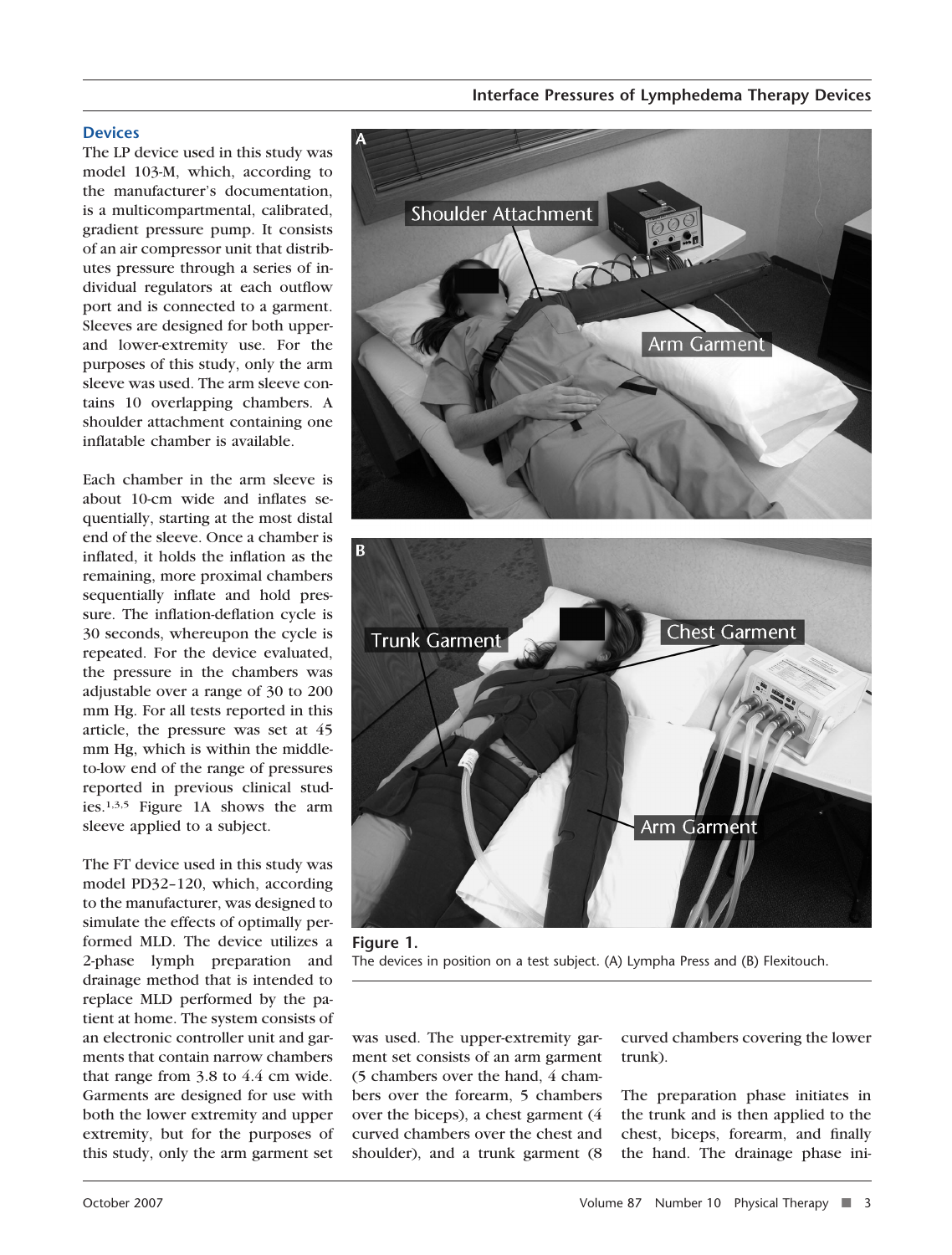#### **Devices**

The LP device used in this study was model 103-M, which, according to the manufacturer's documentation, is a multicompartmental, calibrated, gradient pressure pump. It consists of an air compressor unit that distributes pressure through a series of individual regulators at each outflow port and is connected to a garment. Sleeves are designed for both upperand lower-extremity use. For the purposes of this study, only the arm sleeve was used. The arm sleeve contains 10 overlapping chambers. A shoulder attachment containing one inflatable chamber is available.

Each chamber in the arm sleeve is about 10-cm wide and inflates sequentially, starting at the most distal end of the sleeve. Once a chamber is inflated, it holds the inflation as the remaining, more proximal chambers sequentially inflate and hold pressure. The inflation-deflation cycle is 30 seconds, whereupon the cycle is repeated. For the device evaluated, the pressure in the chambers was adjustable over a range of 30 to 200 mm Hg. For all tests reported in this article, the pressure was set at 45 mm Hg, which is within the middleto-low end of the range of pressures reported in previous clinical studies.1,3,5 Figure 1A shows the arm sleeve applied to a subject.

The FT device used in this study was model PD32–120, which, according to the manufacturer, was designed to simulate the effects of optimally performed MLD. The device utilizes a 2-phase lymph preparation and drainage method that is intended to replace MLD performed by the patient at home. The system consists of an electronic controller unit and garments that contain narrow chambers that range from 3.8 to 4.4 cm wide. Garments are designed for use with both the lower extremity and upper extremity, but for the purposes of this study, only the arm garment set





**Figure 1.** The devices in position on a test subject. (A) Lympha Press and (B) Flexitouch.

was used. The upper-extremity garment set consists of an arm garment (5 chambers over the hand, 4 chambers over the forearm, 5 chambers over the biceps), a chest garment (4 curved chambers over the chest and shoulder), and a trunk garment (8

curved chambers covering the lower trunk).

The preparation phase initiates in the trunk and is then applied to the chest, biceps, forearm, and finally the hand. The drainage phase ini-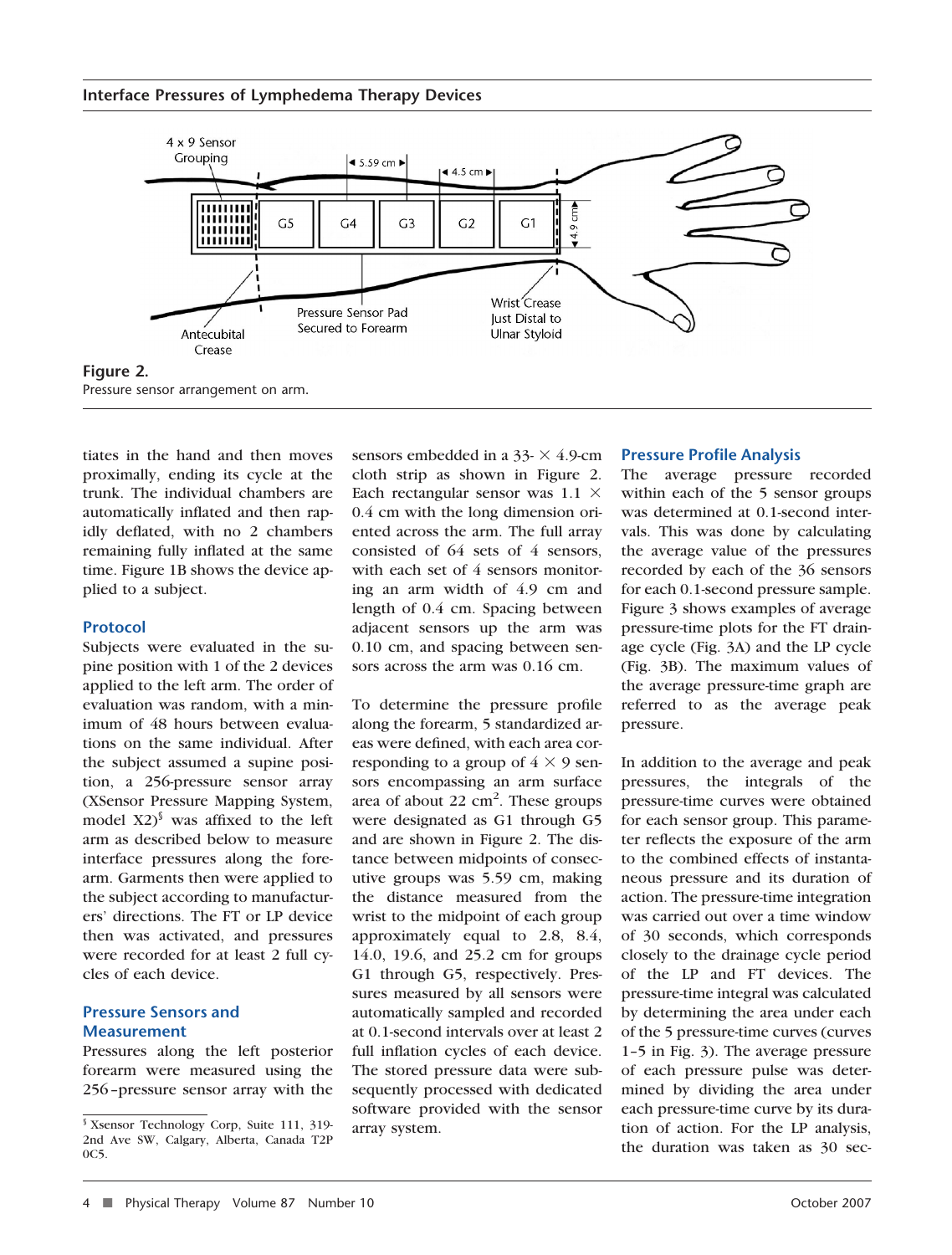

tiates in the hand and then moves proximally, ending its cycle at the trunk. The individual chambers are automatically inflated and then rapidly deflated, with no 2 chambers remaining fully inflated at the same time. Figure 1B shows the device applied to a subject.

#### **Protocol**

Subjects were evaluated in the supine position with 1 of the 2 devices applied to the left arm. The order of evaluation was random, with a minimum of 48 hours between evaluations on the same individual. After the subject assumed a supine position, a 256-pressure sensor array (XSensor Pressure Mapping System, model  $X2$ <sup>§</sup> was affixed to the left arm as described below to measure interface pressures along the forearm. Garments then were applied to the subject according to manufacturers' directions. The FT or LP device then was activated, and pressures were recorded for at least 2 full cycles of each device.

#### **Pressure Sensors and Measurement**

Pressures along the left posterior forearm were measured using the 256–pressure sensor array with the sensors embedded in a  $33 \times 4.9$ -cm cloth strip as shown in Figure 2. Each rectangular sensor was  $1.1 \times$ 0.4 cm with the long dimension oriented across the arm. The full array consisted of 64 sets of 4 sensors, with each set of 4 sensors monitoring an arm width of 4.9 cm and length of 0.4 cm. Spacing between adjacent sensors up the arm was 0.10 cm, and spacing between sensors across the arm was 0.16 cm.

To determine the pressure profile along the forearm, 5 standardized areas were defined, with each area corresponding to a group of  $4 \times 9$  sensors encompassing an arm surface area of about  $22 \text{ cm}^2$ . These groups were designated as G1 through G5 and are shown in Figure 2. The distance between midpoints of consecutive groups was 5.59 cm, making the distance measured from the wrist to the midpoint of each group approximately equal to 2.8, 8.4, 14.0, 19.6, and 25.2 cm for groups G1 through G5, respectively. Pressures measured by all sensors were automatically sampled and recorded at 0.1-second intervals over at least 2 full inflation cycles of each device. The stored pressure data were subsequently processed with dedicated software provided with the sensor array system.

### **Pressure Profile Analysis**

The average pressure recorded within each of the 5 sensor groups was determined at 0.1-second intervals. This was done by calculating the average value of the pressures recorded by each of the 36 sensors for each 0.1-second pressure sample. Figure 3 shows examples of average pressure-time plots for the FT drainage cycle (Fig. 3A) and the LP cycle (Fig. 3B). The maximum values of the average pressure-time graph are referred to as the average peak pressure.

In addition to the average and peak pressures, the integrals of the pressure-time curves were obtained for each sensor group. This parameter reflects the exposure of the arm to the combined effects of instantaneous pressure and its duration of action. The pressure-time integration was carried out over a time window of 30 seconds, which corresponds closely to the drainage cycle period of the LP and FT devices. The pressure-time integral was calculated by determining the area under each of the 5 pressure-time curves (curves 1–5 in Fig. 3). The average pressure of each pressure pulse was determined by dividing the area under each pressure-time curve by its duration of action. For the LP analysis, the duration was taken as 30 sec-

<sup>§</sup> Xsensor Technology Corp, Suite 111, 319- 2nd Ave SW, Calgary, Alberta, Canada T2P 0C5.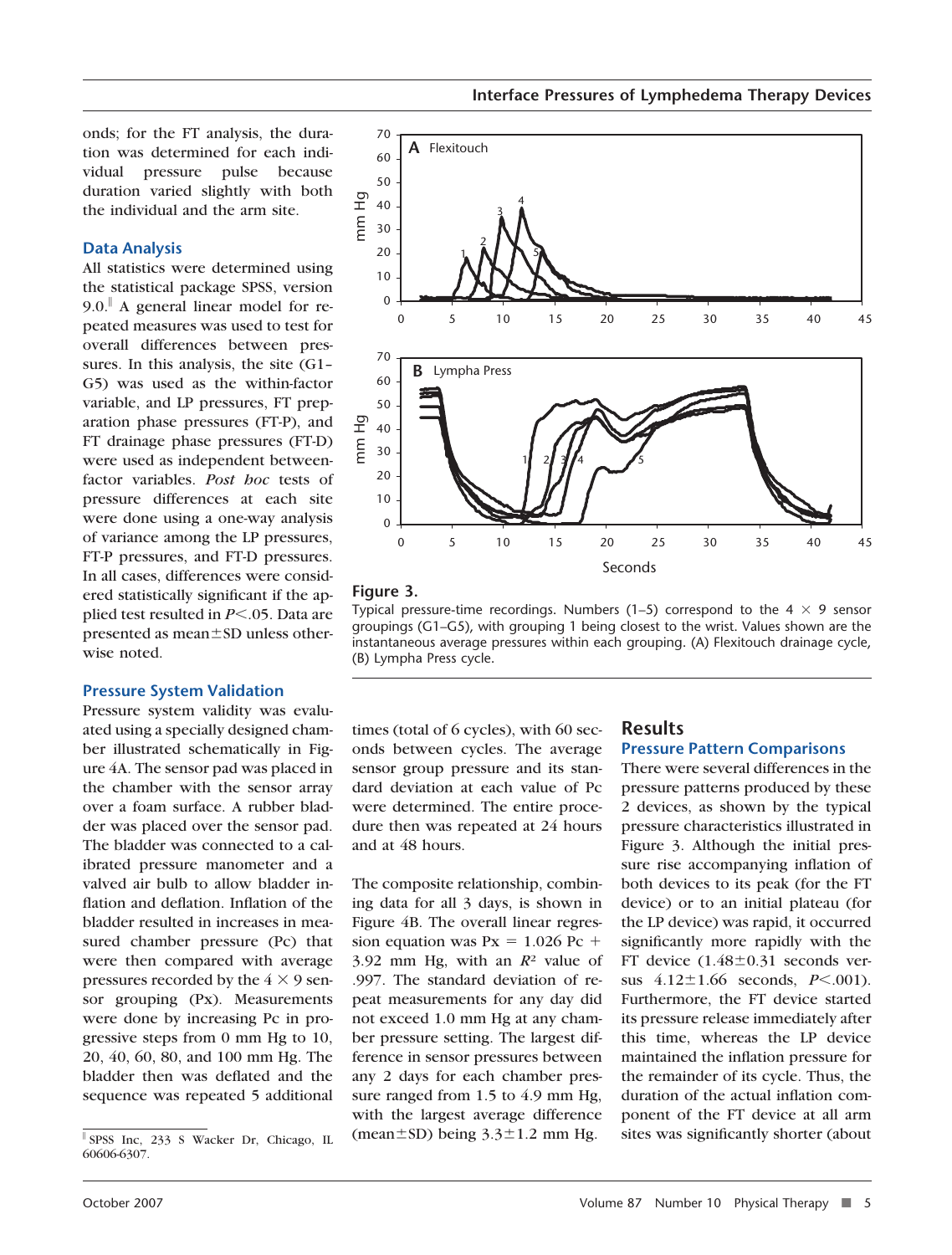#### **Data Analysis**

All statistics were determined using the statistical package SPSS, version  $9.0$ <sup> $\parallel$ </sup> A general linear model for repeated measures was used to test for overall differences between pressures. In this analysis, the site (G1– G5) was used as the within-factor variable, and LP pressures, FT preparation phase pressures (FT-P), and FT drainage phase pressures (FT-D) were used as independent betweenfactor variables. *Post hoc* tests of pressure differences at each site were done using a one-way analysis of variance among the LP pressures, FT-P pressures, and FT-D pressures. In all cases, differences were considered statistically significant if the applied test resulted in *P*<.05. Data are presented as mean $\pm$ SD unless otherwise noted.

#### **Pressure System Validation**

Pressure system validity was evaluated using a specially designed chamber illustrated schematically in Figure 4A. The sensor pad was placed in the chamber with the sensor array over a foam surface. A rubber bladder was placed over the sensor pad. The bladder was connected to a calibrated pressure manometer and a valved air bulb to allow bladder inflation and deflation. Inflation of the bladder resulted in increases in measured chamber pressure (Pc) that were then compared with average pressures recorded by the  $4 \times 9$  sensor grouping (Px). Measurements were done by increasing Pc in progressive steps from 0 mm Hg to 10, 20, 40, 60, 80, and 100 mm Hg. The bladder then was deflated and the sequence was repeated 5 additional



#### **Figure 3.**

Typical pressure-time recordings. Numbers (1–5) correspond to the 4  $\times$  9 sensor groupings (G1–G5), with grouping 1 being closest to the wrist. Values shown are the instantaneous average pressures within each grouping. (A) Flexitouch drainage cycle, (B) Lympha Press cycle.

times (total of 6 cycles), with 60 seconds between cycles. The average sensor group pressure and its standard deviation at each value of Pc were determined. The entire procedure then was repeated at 24 hours and at 48 hours.

The composite relationship, combining data for all 3 days, is shown in Figure 4B. The overall linear regression equation was  $Px = 1.026$  Pc + 3.92 mm Hg, with an  $R^2$  value of .997. The standard deviation of repeat measurements for any day did not exceed 1.0 mm Hg at any chamber pressure setting. The largest difference in sensor pressures between any 2 days for each chamber pressure ranged from 1.5 to 4.9 mm Hg, with the largest average difference (mean $\pm$ SD) being  $3.3\pm1.2$  mm Hg.  $\sqrt{\frac{1}{100}}$  SPSS Inc, 233 S Wacker Dr, Chicago, IL (mean±SD) being 3.3±1.2 mm Hg. sites was significantly shorter (about

#### **Results Pressure Pattern Comparisons**

There were several differences in the pressure patterns produced by these 2 devices, as shown by the typical pressure characteristics illustrated in Figure 3. Although the initial pressure rise accompanying inflation of both devices to its peak (for the FT device) or to an initial plateau (for the LP device) was rapid, it occurred significantly more rapidly with the FT device  $(1.48\pm0.31$  seconds versus  $4.12 \pm 1.66$  seconds,  $P \le 0.001$ . Furthermore, the FT device started its pressure release immediately after this time, whereas the LP device maintained the inflation pressure for the remainder of its cycle. Thus, the duration of the actual inflation component of the FT device at all arm

<sup>60606-6307.</sup>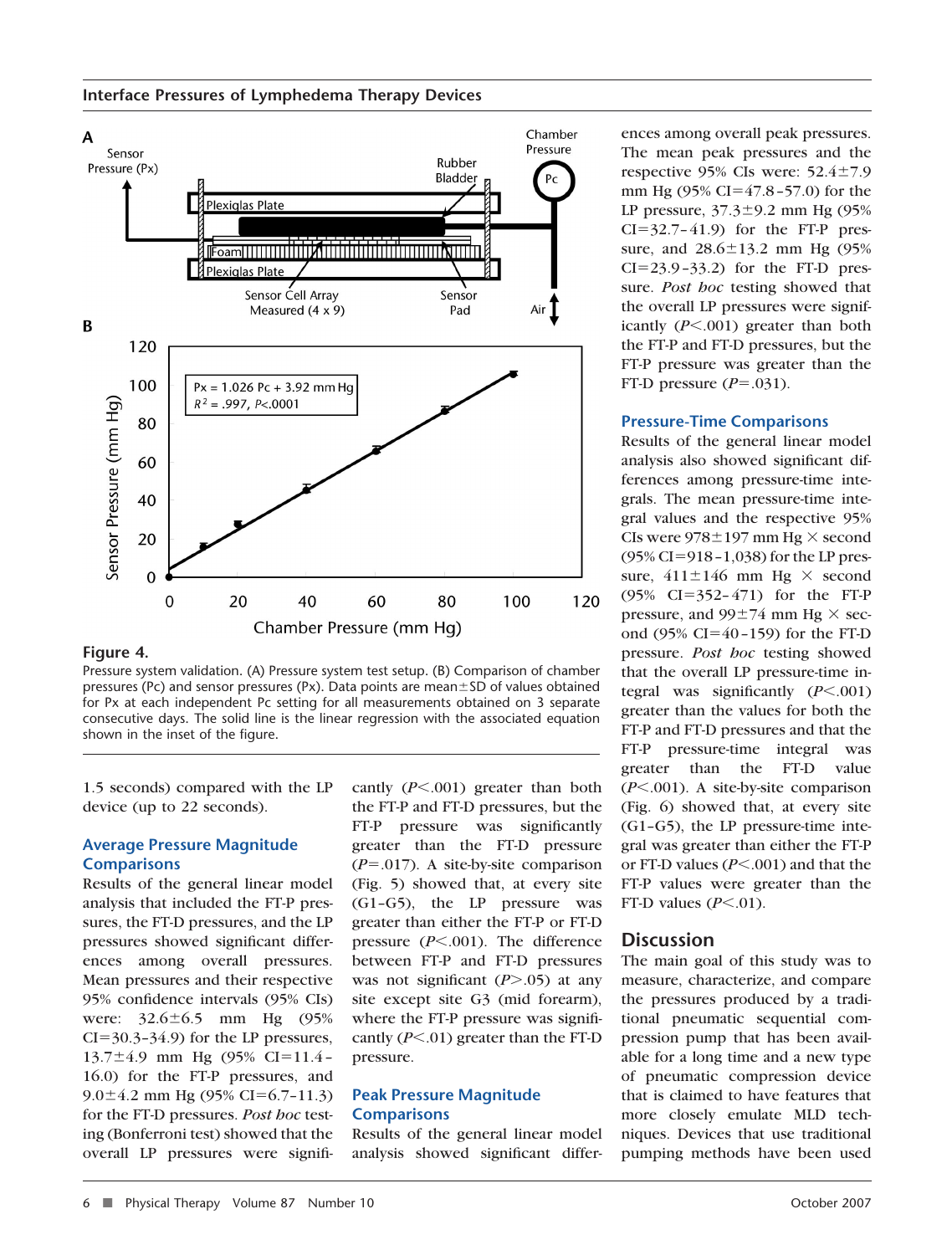

#### **Figure 4.**

Pressure system validation. (A) Pressure system test setup. (B) Comparison of chamber pressures (Pc) and sensor pressures (Px). Data points are mean $\pm$ SD of values obtained for Px at each independent Pc setting for all measurements obtained on 3 separate consecutive days. The solid line is the linear regression with the associated equation shown in the inset of the figure.

1.5 seconds) compared with the LP device (up to 22 seconds).

#### **Average Pressure Magnitude Comparisons**

Results of the general linear model analysis that included the FT-P pressures, the FT-D pressures, and the LP pressures showed significant differences among overall pressures. Mean pressures and their respective 95% confidence intervals (95% CIs) were:  $32.6 \pm 6.5$  mm Hg (95%)  $CI = 30.3 - 34.9$  for the LP pressures,  $13.7 \pm 4.9$  mm Hg (95% CI=11.4– 16.0) for the FT-P pressures, and  $9.0 \pm 4.2$  mm Hg (95% CI=6.7-11.3) for the FT-D pressures. *Post hoc* testing (Bonferroni test) showed that the overall LP pressures were significantly  $(P<.001)$  greater than both the FT-P and FT-D pressures, but the FT-P pressure was significantly greater than the FT-D pressure  $(P=.017)$ . A site-by-site comparison (Fig. 5) showed that, at every site (G1–G5), the LP pressure was greater than either the FT-P or FT-D pressure  $(P<.001)$ . The difference between FT-P and FT-D pressures was not significant  $(P > 0.05)$  at any site except site G3 (mid forearm), where the FT-P pressure was significantly  $(P<.01)$  greater than the FT-D pressure.

#### **Peak Pressure Magnitude Comparisons**

Results of the general linear model analysis showed significant differences among overall peak pressures. The mean peak pressures and the respective  $95\%$  CIs were:  $52.4 \pm 7.9$ mm Hg (95% CI=47.8-57.0) for the LP pressure,  $37.3 \pm 9.2$  mm Hg (95%)  $CI = 32.7 - 41.9$  for the FT-P pressure, and  $28.6 \pm 13.2$  mm Hg (95%)  $CI = 23.9 - 33.2$  for the FT-D pressure. *Post hoc* testing showed that the overall LP pressures were significantly  $(P<.001)$  greater than both the FT-P and FT-D pressures, but the FT-P pressure was greater than the FT-D pressure  $(P=.031)$ .

#### **Pressure-Time Comparisons**

Results of the general linear model analysis also showed significant differences among pressure-time integrals. The mean pressure-time integral values and the respective 95% CIs were  $978\pm197$  mm Hg  $\times$  second  $(95\% CI = 918 - 1,038)$  for the LP pressure,  $411 \pm 146$  mm Hg  $\times$  second  $(95\% \text{ CI} = 352 - 471)$  for the FT-P pressure, and  $99\pm74$  mm Hg  $\times$  second (95% CI=40-159) for the FT-D pressure. *Post hoc* testing showed that the overall LP pressure-time integral was significantly  $(P<.001)$ greater than the values for both the FT-P and FT-D pressures and that the FT-P pressure-time integral was greater than the FT-D value  $(P<.001)$ . A site-by-site comparison (Fig. 6) showed that, at every site (G1–G5), the LP pressure-time integral was greater than either the FT-P or FT-D values  $(P<.001)$  and that the FT-P values were greater than the FT-D values  $(P<.01)$ .

# **Discussion**

The main goal of this study was to measure, characterize, and compare the pressures produced by a traditional pneumatic sequential compression pump that has been available for a long time and a new type of pneumatic compression device that is claimed to have features that more closely emulate MLD techniques. Devices that use traditional pumping methods have been used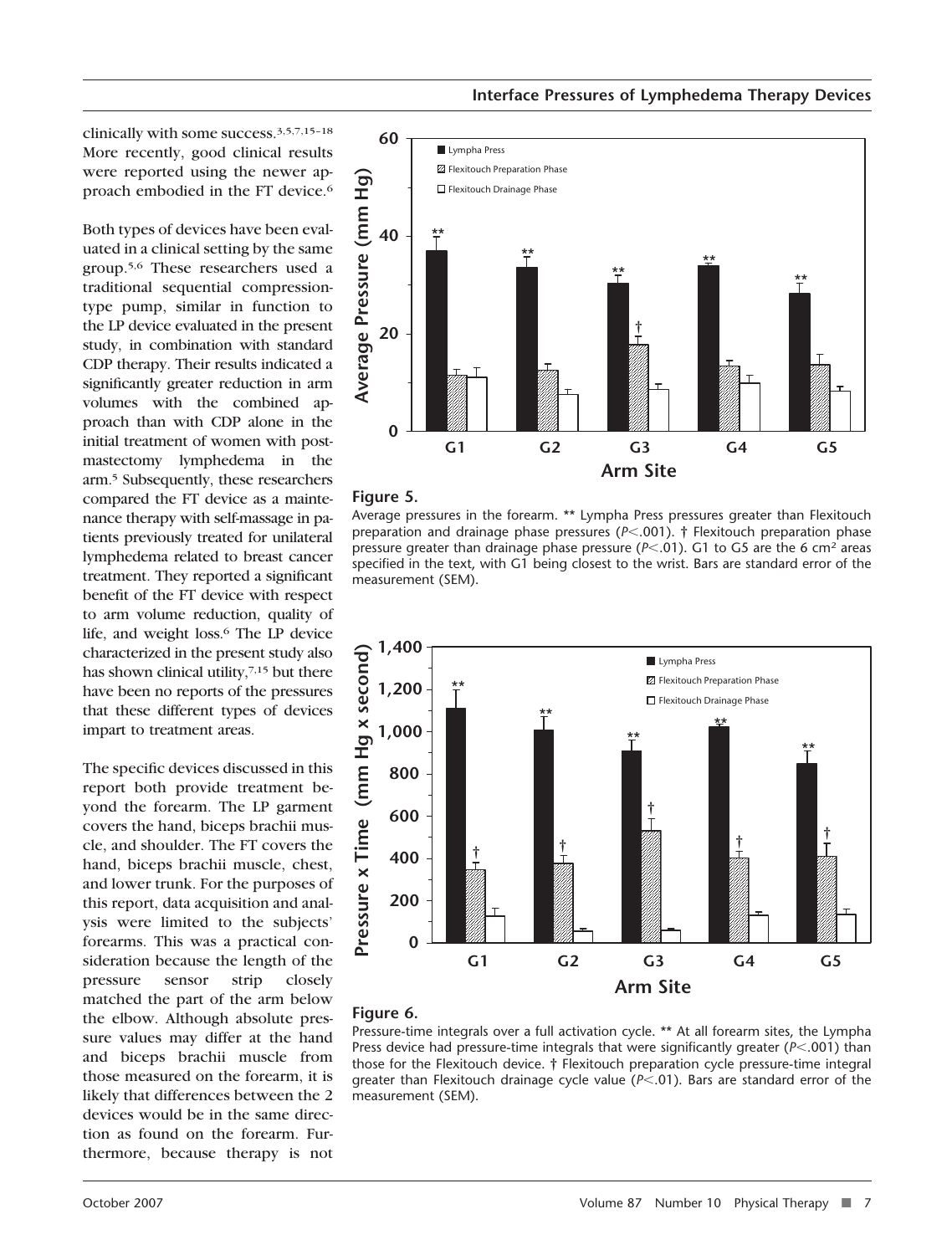clinically with some success.3,5,7,15–18 More recently, good clinical results were reported using the newer approach embodied in the FT device.6

Both types of devices have been evaluated in a clinical setting by the same group.5,6 These researchers used a traditional sequential compressiontype pump, similar in function to the LP device evaluated in the present study, in combination with standard CDP therapy. Their results indicated a significantly greater reduction in arm volumes with the combined approach than with CDP alone in the initial treatment of women with postmastectomy lymphedema in the arm.5 Subsequently, these researchers compared the FT device as a maintenance therapy with self-massage in patients previously treated for unilateral lymphedema related to breast cancer treatment. They reported a significant benefit of the FT device with respect to arm volume reduction, quality of life, and weight loss.<sup>6</sup> The LP device characterized in the present study also has shown clinical utility,<sup>7,15</sup> but there have been no reports of the pressures that these different types of devices impart to treatment areas.

The specific devices discussed in this report both provide treatment beyond the forearm. The LP garment covers the hand, biceps brachii muscle, and shoulder. The FT covers the hand, biceps brachii muscle, chest, and lower trunk. For the purposes of this report, data acquisition and analysis were limited to the subjects' forearms. This was a practical consideration because the length of the pressure sensor strip closely matched the part of the arm below the elbow. Although absolute pressure values may differ at the hand and biceps brachii muscle from those measured on the forearm, it is likely that differences between the 2 devices would be in the same direction as found on the forearm. Furthermore, because therapy is not



#### **Figure 5.**

Average pressures in the forearm. \*\* Lympha Press pressures greater than Flexitouch preparation and drainage phase pressures ( $P$ <.001). † Flexitouch preparation phase pressure greater than drainage phase pressure  $(P<.01)$ . G1 to G5 are the 6 cm<sup>2</sup> areas specified in the text, with G1 being closest to the wrist. Bars are standard error of the measurement (SEM).





Pressure-time integrals over a full activation cycle. \*\* At all forearm sites, the Lympha Press device had pressure-time integrals that were significantly greater ( $P$ <.001) than those for the Flexitouch device. † Flexitouch preparation cycle pressure-time integral greater than Flexitouch drainage cycle value  $(P<.01)$ . Bars are standard error of the measurement (SEM).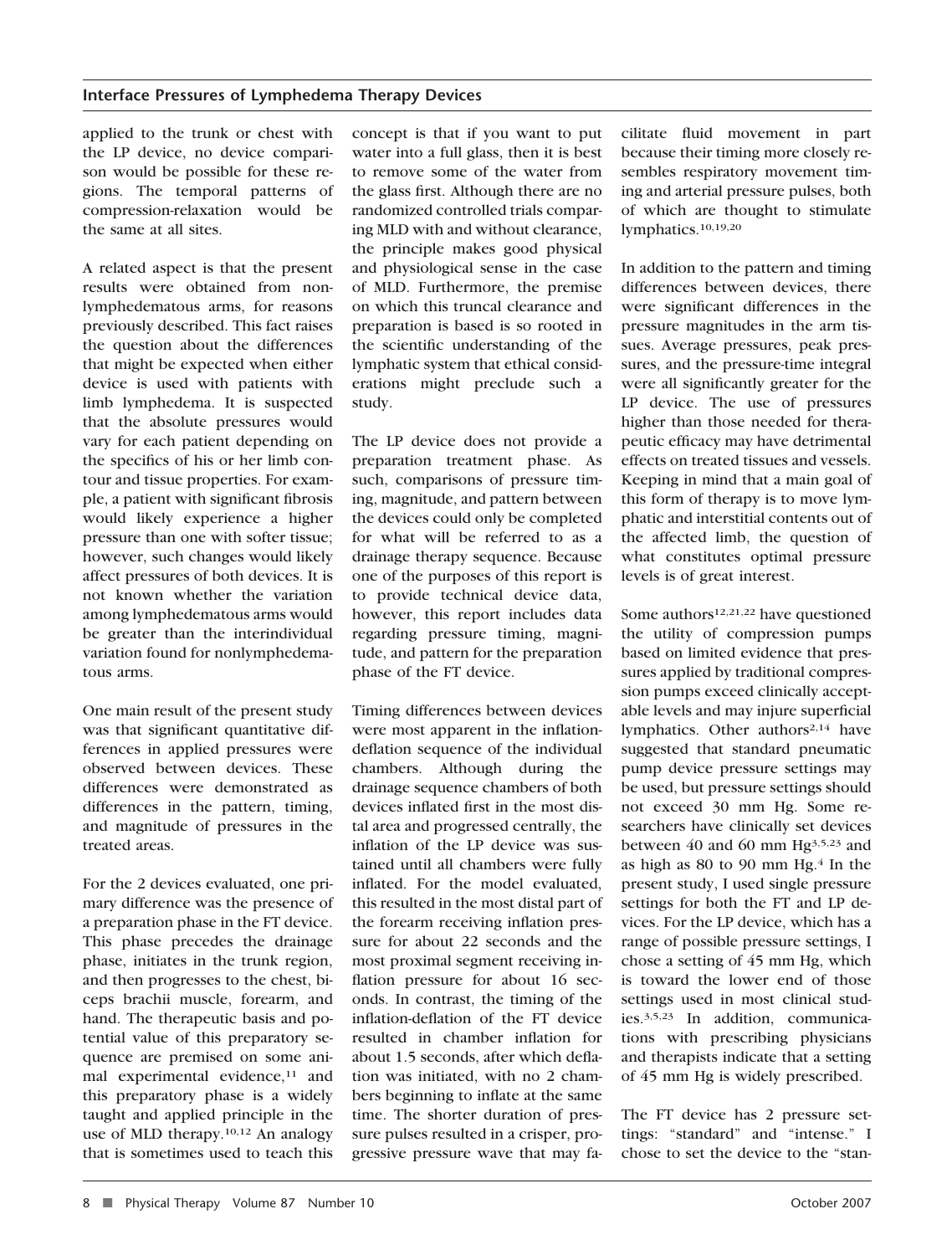applied to the trunk or chest with the LP device, no device comparison would be possible for these regions. The temporal patterns of compression-relaxation would be the same at all sites.

A related aspect is that the present results were obtained from nonlymphedematous arms, for reasons previously described. This fact raises the question about the differences that might be expected when either device is used with patients with limb lymphedema. It is suspected that the absolute pressures would vary for each patient depending on the specifics of his or her limb contour and tissue properties. For example, a patient with significant fibrosis would likely experience a higher pressure than one with softer tissue; however, such changes would likely affect pressures of both devices. It is not known whether the variation among lymphedematous arms would be greater than the interindividual variation found for nonlymphedematous arms.

One main result of the present study was that significant quantitative differences in applied pressures were observed between devices. These differences were demonstrated as differences in the pattern, timing, and magnitude of pressures in the treated areas.

For the 2 devices evaluated, one primary difference was the presence of a preparation phase in the FT device. This phase precedes the drainage phase, initiates in the trunk region, and then progresses to the chest, biceps brachii muscle, forearm, and hand. The therapeutic basis and potential value of this preparatory sequence are premised on some animal experimental evidence,<sup>11</sup> and this preparatory phase is a widely taught and applied principle in the use of MLD therapy.10,12 An analogy that is sometimes used to teach this

concept is that if you want to put water into a full glass, then it is best to remove some of the water from the glass first. Although there are no randomized controlled trials comparing MLD with and without clearance, the principle makes good physical and physiological sense in the case of MLD. Furthermore, the premise on which this truncal clearance and preparation is based is so rooted in the scientific understanding of the lymphatic system that ethical considerations might preclude such a study.

The LP device does not provide a preparation treatment phase. As such, comparisons of pressure timing, magnitude, and pattern between the devices could only be completed for what will be referred to as a drainage therapy sequence. Because one of the purposes of this report is to provide technical device data, however, this report includes data regarding pressure timing, magnitude, and pattern for the preparation phase of the FT device.

Timing differences between devices were most apparent in the inflationdeflation sequence of the individual chambers. Although during the drainage sequence chambers of both devices inflated first in the most distal area and progressed centrally, the inflation of the LP device was sustained until all chambers were fully inflated. For the model evaluated, this resulted in the most distal part of the forearm receiving inflation pressure for about 22 seconds and the most proximal segment receiving inflation pressure for about 16 seconds. In contrast, the timing of the inflation-deflation of the FT device resulted in chamber inflation for about 1.5 seconds, after which deflation was initiated, with no 2 chambers beginning to inflate at the same time. The shorter duration of pressure pulses resulted in a crisper, progressive pressure wave that may facilitate fluid movement in part because their timing more closely resembles respiratory movement timing and arterial pressure pulses, both of which are thought to stimulate lymphatics.10,19,20

In addition to the pattern and timing differences between devices, there were significant differences in the pressure magnitudes in the arm tissues. Average pressures, peak pressures, and the pressure-time integral were all significantly greater for the LP device. The use of pressures higher than those needed for therapeutic efficacy may have detrimental effects on treated tissues and vessels. Keeping in mind that a main goal of this form of therapy is to move lymphatic and interstitial contents out of the affected limb, the question of what constitutes optimal pressure levels is of great interest.

Some authors<sup>12,21,22</sup> have questioned the utility of compression pumps based on limited evidence that pressures applied by traditional compression pumps exceed clinically acceptable levels and may injure superficial lymphatics. Other authors<sup>2,14</sup> have suggested that standard pneumatic pump device pressure settings may be used, but pressure settings should not exceed 30 mm Hg. Some researchers have clinically set devices between 40 and 60 mm Hg3,5,23 and as high as 80 to 90 mm  $Hg<sup>4</sup>$  In the present study, I used single pressure settings for both the FT and LP devices. For the LP device, which has a range of possible pressure settings, I chose a setting of 45 mm Hg, which is toward the lower end of those settings used in most clinical studies.3,5,23 In addition, communications with prescribing physicians and therapists indicate that a setting of 45 mm Hg is widely prescribed.

The FT device has 2 pressure settings: "standard" and "intense." I chose to set the device to the "stan-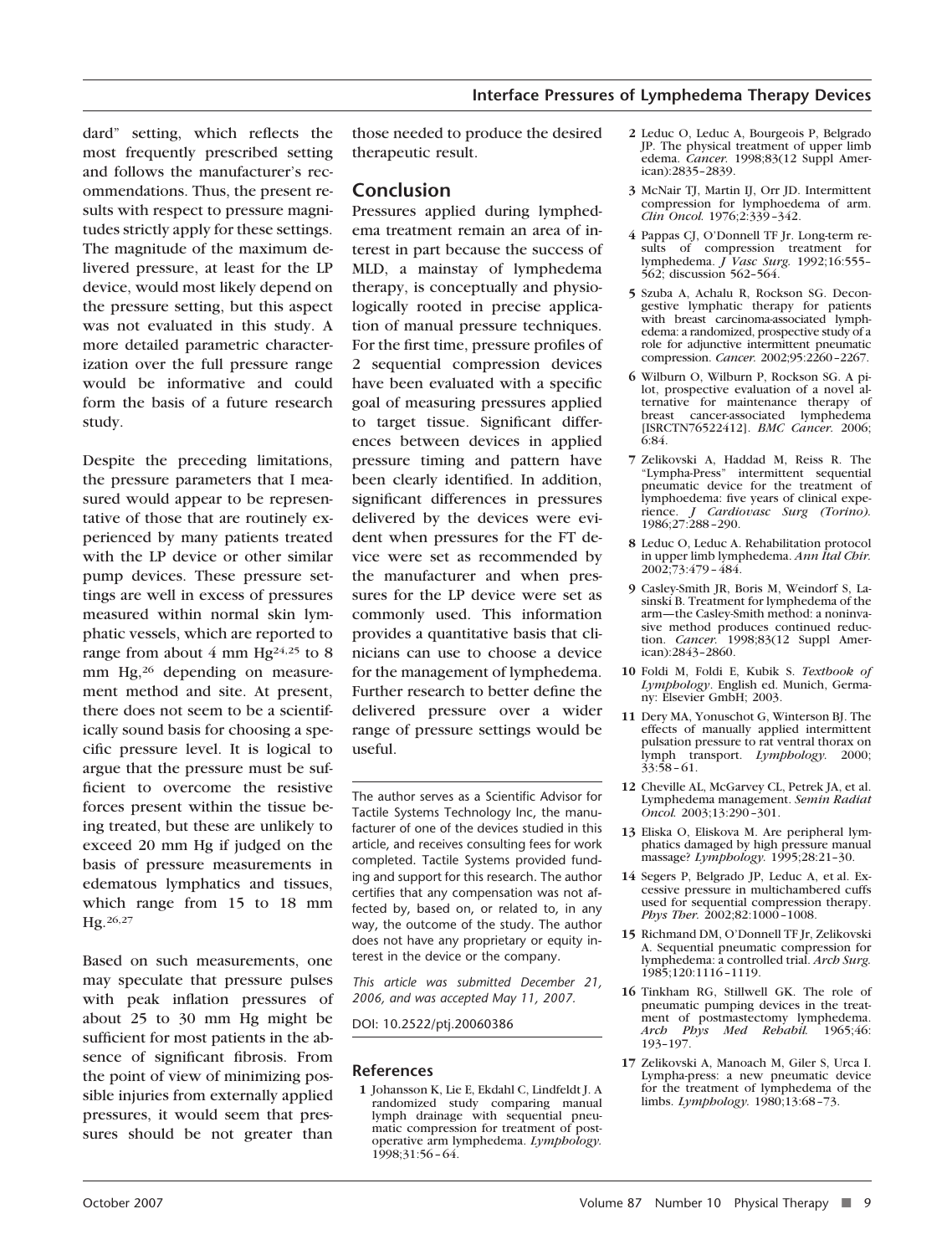dard" setting, which reflects the most frequently prescribed setting and follows the manufacturer's recommendations. Thus, the present results with respect to pressure magnitudes strictly apply for these settings. The magnitude of the maximum delivered pressure, at least for the LP device, would most likely depend on the pressure setting, but this aspect was not evaluated in this study. A more detailed parametric characterization over the full pressure range would be informative and could form the basis of a future research study.

Despite the preceding limitations, the pressure parameters that I measured would appear to be representative of those that are routinely experienced by many patients treated with the LP device or other similar pump devices. These pressure settings are well in excess of pressures measured within normal skin lymphatic vessels, which are reported to range from about 4 mm  $Hg^{24,25}$  to 8 mm Hg,<sup>26</sup> depending on measurement method and site. At present, there does not seem to be a scientifically sound basis for choosing a specific pressure level. It is logical to argue that the pressure must be sufficient to overcome the resistive forces present within the tissue being treated, but these are unlikely to exceed 20 mm Hg if judged on the basis of pressure measurements in edematous lymphatics and tissues, which range from 15 to 18 mm Hg.26,27

Based on such measurements, one may speculate that pressure pulses with peak inflation pressures of about 25 to 30 mm Hg might be sufficient for most patients in the absence of significant fibrosis. From the point of view of minimizing possible injuries from externally applied pressures, it would seem that pressures should be not greater than

those needed to produce the desired therapeutic result.

# **Conclusion**

Pressures applied during lymphedema treatment remain an area of interest in part because the success of MLD, a mainstay of lymphedema therapy, is conceptually and physiologically rooted in precise application of manual pressure techniques. For the first time, pressure profiles of 2 sequential compression devices have been evaluated with a specific goal of measuring pressures applied to target tissue. Significant differences between devices in applied pressure timing and pattern have been clearly identified. In addition, significant differences in pressures delivered by the devices were evident when pressures for the FT device were set as recommended by the manufacturer and when pressures for the LP device were set as commonly used. This information provides a quantitative basis that clinicians can use to choose a device for the management of lymphedema. Further research to better define the delivered pressure over a wider range of pressure settings would be useful.

The author serves as a Scientific Advisor for Tactile Systems Technology Inc, the manufacturer of one of the devices studied in this article, and receives consulting fees for work completed. Tactile Systems provided funding and support for this research. The author certifies that any compensation was not affected by, based on, or related to, in any way, the outcome of the study. The author does not have any proprietary or equity interest in the device or the company.

*This article was submitted December 21, 2006, and was accepted May 11, 2007.*

#### DOI: 10.2522/ptj.20060386

#### **References**

**1** Johansson K, Lie E, Ekdahl C, Lindfeldt J. A randomized study comparing manual lymph drainage with sequential pneumatic compression for treatment of postoperative arm lymphedema. *Lymphology.* 1998;31:56–64.

- **2** Leduc O, Leduc A, Bourgeois P, Belgrado JP. The physical treatment of upper limb edema. *Cancer.* 1998;83(12 Suppl American):2835–2839.
- **3** McNair TJ, Martin IJ, Orr JD. Intermittent compression for lymphoedema of arm. *Clin Oncol.* 1976;2:339–342.
- **4** Pappas CJ, O'Donnell TF Jr. Long-term results of compression treatment for lymphedema. *J Vasc Surg.* 1992;16:555– 562; discussion 562–564.
- **5** Szuba A, Achalu R, Rockson SG. Decongestive lymphatic therapy for patients with breast carcinoma-associated lymphedema: a randomized, prospective study of a role for adjunctive intermittent pneumatic compression. *Cancer.* 2002;95:2260–2267.
- **6** Wilburn O, Wilburn P, Rockson SG. A pilot, prospective evaluation of a novel alternative for maintenance therapy of breast cancer-associated lymphedema [ISRCTN76522412]. *BMC Cancer.* 2006; 6:84.
- **7** Zelikovski A, Haddad M, Reiss R. The "Lympha-Press" intermittent sequential pneumatic device for the treatment of lymphoedema: five years of clinical experience. *J Cardiovasc Surg (Torino).* 1986;27:288–290.
- **8** Leduc O, Leduc A. Rehabilitation protocol in upper limb lymphedema. *Ann Ital Chir.* 2002;73:479–484.
- **9** Casley-Smith JR, Boris M, Weindorf S, Lasinski B. Treatment for lymphedema of the arm—the Casley-Smith method: a noninvasive method produces continued reduction. *Cancer.* 1998;83(12 Suppl American):2843–2860.
- **10** Foldi M, Foldi E, Kubik S. *Textbook of Lymphology*. English ed. Munich, Germany: Elsevier GmbH; 2003.
- **11** Dery MA, Yonuschot G, Winterson BJ. The effects of manually applied intermittent pulsation pressure to rat ventral thorax on lymph transport. *Lymphology.* 2000; 33:58–61.
- **12** Cheville AL, McGarvey CL, Petrek JA, et al. Lymphedema management. *Semin Radiat Oncol.* 2003;13:290–301.
- **13** Eliska O, Eliskova M. Are peripheral lymphatics damaged by high pressure manual massage? *Lymphology.* 1995;28:21–30.
- **14** Segers P, Belgrado JP, Leduc A, et al. Excessive pressure in multichambered cuffs used for sequential compression therapy. *Phys Ther.* 2002;82:1000–1008.
- **15** Richmand DM, O'Donnell TF Jr, Zelikovski A. Sequential pneumatic compression for lymphedema: a controlled trial. *Arch Surg.* 1985;120:1116–1119.
- **16** Tinkham RG, Stillwell GK. The role of pneumatic pumping devices in the treatment of postmastectomy lymphedema. *Arch Phys Med Rehabil.* 1965;46: 193–197.
- **17** Zelikovski A, Manoach M, Giler S, Urca I. Lympha-press: a new pneumatic device for the treatment of lymphedema of the limbs. *Lymphology.* 1980;13:68–73.